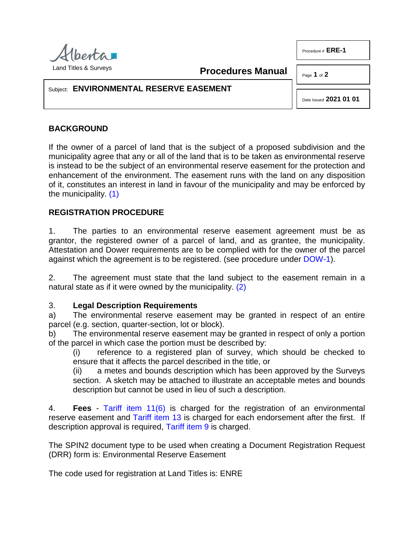

**Procedures Manual**

Page **1** of **2**

Procedure # **ERE-1** 

### Subject: **ENVIRONMENTAL RESERVE EASEMENT**

Date Issued **2021 01 01**

# **BACKGROUND**

If the owner of a parcel of land that is the subject of a proposed subdivision and the municipality agree that any or all of the land that is to be taken as environmental reserve is instead to be the subject of an environmental reserve easement for the protection and enhancement of the environment. The easement runs with the land on any disposition of it, constitutes an interest in land in favour of the municipality and may be enforced by the municipality. [\(1\)](#page-1-0)

# <span id="page-0-0"></span>**REGISTRATION PROCEDURE**

1. The parties to an environmental reserve easement agreement must be as grantor, the registered owner of a parcel of land, and as grantee, the municipality. Attestation and Dower requirements are to be complied with for the owner of the parcel against which the agreement is to be registered. (see procedure under [DOW-1\)](http://www.servicealberta.ca/pdf/ltmanual/DOW-1.pdf).

2. The agreement must state that the land subject to the easement remain in a natural state as if it were owned by the municipality. [\(2\)](#page-1-1)

#### 3. **Legal Description Requirements**

a) The environmental reserve easement may be granted in respect of an entire parcel (e.g. section, quarter-section, lot or block).

b) The environmental reserve easement may be granted in respect of only a portion of the parcel in which case the portion must be described by:

<span id="page-0-1"></span>(i) reference to a registered plan of survey, which should be checked to ensure that it affects the parcel described in the title, or

(ii) a metes and bounds description which has been approved by the Surveys section. A sketch may be attached to illustrate an acceptable metes and bounds description but cannot be used in lieu of such a description.

4. **Fees** - [Tariff item 11\(6\)](http://www.servicealberta.ca/pdf/ltmanual/APPENDIXI.pdf) is charged for the registration of an environmental reserve easement and [Tariff item 13](http://www.servicealberta.ca/pdf/ltmanual/APPENDIXI.pdf) is charged for each endorsement after the first. If description approval is required, [Tariff item 9](http://www.servicealberta.ca/pdf/ltmanual/APPENDIXI.pdf) is charged.

The SPIN2 document type to be used when creating a Document Registration Request (DRR) form is: Environmental Reserve Easement

The code used for registration at Land Titles is: ENRE